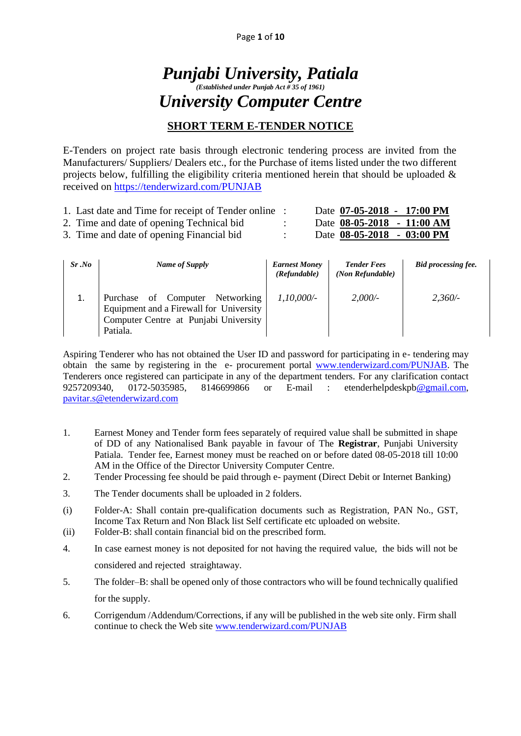# *Punjabi University, Patiala (Established under Punjab Act # 35 of 1961) University Computer Centre*

# **SHORT TERM E-TENDER NOTICE**

E-Tenders on project rate basis through electronic tendering process are invited from the Manufacturers/ Suppliers/ Dealers etc., for the Purchase of items listed under the two different projects below, fulfilling the eligibility criteria mentioned herein that should be uploaded  $\&$ received on<https://tenderwizard.com/PUNJAB>

| 1. Last date and Time for receipt of Tender online |  | Date 07-05-2018 - 17:00 PM   |  |
|----------------------------------------------------|--|------------------------------|--|
| 2. Time and date of opening Technical bid.         |  | Date $08-05-2018 - 11:00 AM$ |  |
| 3. Time and date of opening Financial bid          |  | Date 08-05-2018 - 03:00 PM   |  |

| $Sr$ .No | Name of Supply                                                             | <b>Earnest Money</b><br>(Refundable) | <b>Tender Fees</b><br>(Non Refundable) | Bid processing fee. |
|----------|----------------------------------------------------------------------------|--------------------------------------|----------------------------------------|---------------------|
| 1.       | Purchase of Computer Networking<br>Equipment and a Firewall for University | 1.10.000/-                           | $2.000/-$                              | 2,360/              |
|          | Computer Centre at Punjabi University<br>Patiala.                          |                                      |                                        |                     |

Aspiring Tenderer who has not obtained the User ID and password for participating in e- tendering may obtain the same by registering in the e- procurement portal [www.tenderwizard.com/PUNJAB.](http://www.tenderwizard.com/PUNJAB) The Tenderers once registered can participate in any of the department tenders. For any clarification contact 9257209340, 0172-5035985, 8146699866 or E-mail : etenderhelpdeskp[b@gmail.com,](mailto:@gmail.com) [pavitar.s@etenderwizard.com](mailto:pavitar.s@etenderwizard.com)

- 1. Earnest Money and Tender form fees separately of required value shall be submitted in shape of DD of any Nationalised Bank payable in favour of The **Registrar**, Punjabi University Patiala. Tender fee, Earnest money must be reached on or before dated 08-05-2018 till 10:00 AM in the Office of the Director University Computer Centre.
- 2. Tender Processing fee should be paid through e- payment (Direct Debit or Internet Banking)
- 3. The Tender documents shall be uploaded in 2 folders.
- (i) Folder-A: Shall contain pre-qualification documents such as Registration, PAN No., GST, Income Tax Return and Non Black list Self certificate etc uploaded on website.
- (ii) Folder-B: shall contain financial bid on the prescribed form.
- 4. In case earnest money is not deposited for not having the required value, the bids will not be considered and rejected straightaway.
- 5. The folder–B: shall be opened only of those contractors who will be found technically qualified for the supply.
- 6. Corrigendum /Addendum/Corrections, if any will be published in the web site only. Firm shall continue to check the Web site [www.tenderwizard.com/PUNJAB](http://www.tenderwizard.com/PUNJAB)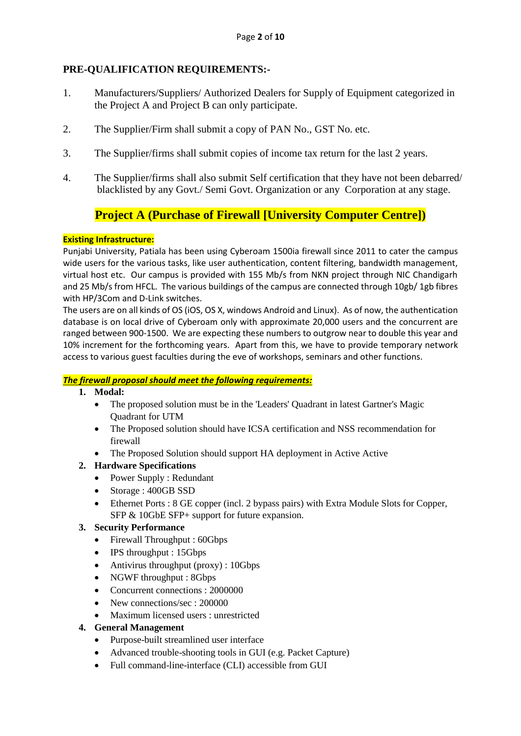# **PRE-QUALIFICATION REQUIREMENTS:-**

- 1. Manufacturers/Suppliers/ Authorized Dealers for Supply of Equipment categorized in the Project A and Project B can only participate.
- 2. The Supplier/Firm shall submit a copy of PAN No., GST No. etc.
- 3. The Supplier/firms shall submit copies of income tax return for the last 2 years.
- 4. The Supplier/firms shall also submit Self certification that they have not been debarred/ blacklisted by any Govt./ Semi Govt. Organization or any Corporation at any stage.

# **Project A (Purchase of Firewall [University Computer Centre])**

### **Existing Infrastructure:**

Punjabi University, Patiala has been using Cyberoam 1500ia firewall since 2011 to cater the campus wide users for the various tasks, like user authentication, content filtering, bandwidth management, virtual host etc. Our campus is provided with 155 Mb/s from NKN project through NIC Chandigarh and 25 Mb/s from HFCL. The various buildings of the campus are connected through 10gb/ 1gb fibres with HP/3Com and D-Link switches.

The users are on all kinds of OS (iOS, OS X, windows Android and Linux). As of now, the authentication database is on local drive of Cyberoam only with approximate 20,000 users and the concurrent are ranged between 900-1500. We are expecting these numbers to outgrow near to double this year and 10% increment for the forthcoming years. Apart from this, we have to provide temporary network access to various guest faculties during the eve of workshops, seminars and other functions.

# *The firewall proposal should meet the following requirements:*

- **1. Modal:**
	- The proposed solution must be in the 'Leaders' Quadrant in latest Gartner's Magic Quadrant for UTM
	- The Proposed solution should have ICSA certification and NSS recommendation for firewall
	- The Proposed Solution should support HA deployment in Active Active

# **2. Hardware Specifications**

- Power Supply : Redundant
- Storage : 400GB SSD
- Ethernet Ports : 8 GE copper (incl. 2 bypass pairs) with Extra Module Slots for Copper, SFP & 10GbE SFP+ support for future expansion.

# **3. Security Performance**

- Firewall Throughput : 60Gbps
- IPS throughput : 15Gbps
- Antivirus throughput (proxy) : 10Gbps
- NGWF throughput : 8Gbps
- Concurrent connections : 2000000
- New connections/sec : 200000
- Maximum licensed users : unrestricted
- **4. General Management**
	- Purpose-built streamlined user interface
	- Advanced trouble-shooting tools in GUI (e.g. Packet Capture)
	- Full command-line-interface (CLI) accessible from GUI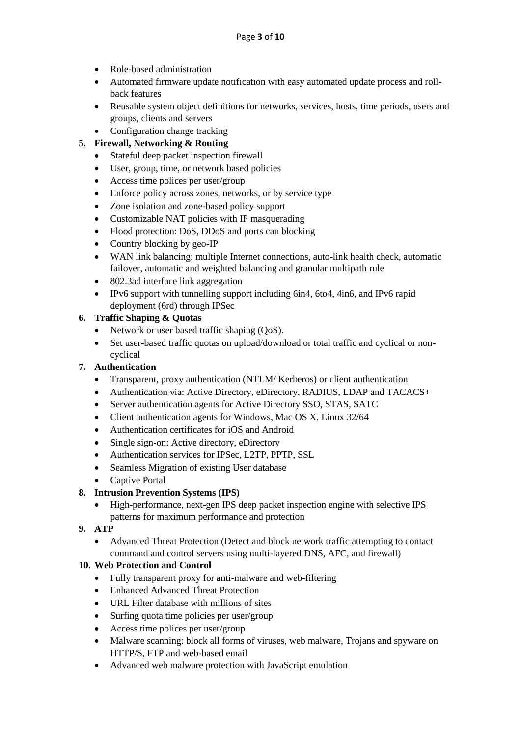- Role-based administration
- Automated firmware update notification with easy automated update process and rollback features
- Reusable system object definitions for networks, services, hosts, time periods, users and groups, clients and servers
- Configuration change tracking

# **5. Firewall, Networking & Routing**

- Stateful deep packet inspection firewall
- User, group, time, or network based policies
- Access time polices per user/group
- Enforce policy across zones, networks, or by service type
- Zone isolation and zone-based policy support
- Customizable NAT policies with IP masquerading
- Flood protection: DoS, DDoS and ports can blocking
- Country blocking by geo-IP
- WAN link balancing: multiple Internet connections, auto-link health check, automatic failover, automatic and weighted balancing and granular multipath rule
- 802.3ad interface link aggregation
- IPv6 support with tunnelling support including 6in4, 6to4, 4in6, and IPv6 rapid deployment (6rd) through IPSec

### **6. Traffic Shaping & Quotas**

- Network or user based traffic shaping (QoS).
- Set user-based traffic quotas on upload/download or total traffic and cyclical or noncyclical

#### **7. Authentication**

- Transparent, proxy authentication (NTLM/ Kerberos) or client authentication
- Authentication via: Active Directory, eDirectory, RADIUS, LDAP and TACACS+
- Server authentication agents for Active Directory SSO, STAS, SATC
- Client authentication agents for Windows, Mac OS X, Linux 32/64
- Authentication certificates for iOS and Android
- Single sign-on: Active directory, eDirectory
- Authentication services for IPSec, L2TP, PPTP, SSL
- Seamless Migration of existing User database
- Captive Portal

# **8. Intrusion Prevention Systems (IPS)**

- High-performance, next-gen IPS deep packet inspection engine with selective IPS patterns for maximum performance and protection
- **9. ATP**
	- Advanced Threat Protection (Detect and block network traffic attempting to contact command and control servers using multi-layered DNS, AFC, and firewall)

#### **10. Web Protection and Control**

- Fully transparent proxy for anti-malware and web-filtering
- Enhanced Advanced Threat Protection
- URL Filter database with millions of sites
- $\bullet$  Surfing quota time policies per user/group
- Access time polices per user/group
- Malware scanning: block all forms of viruses, web malware, Trojans and spyware on HTTP/S, FTP and web-based email
- Advanced web malware protection with JavaScript emulation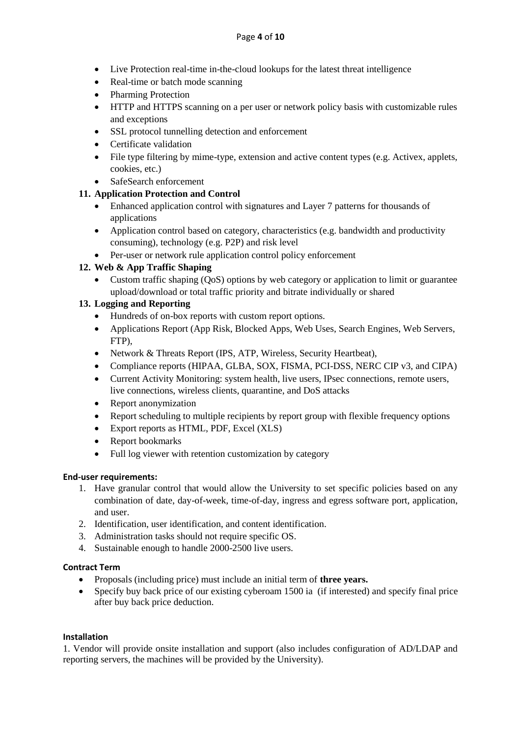- Live Protection real-time in-the-cloud lookups for the latest threat intelligence
- Real-time or batch mode scanning
- Pharming Protection
- HTTP and HTTPS scanning on a per user or network policy basis with customizable rules and exceptions
- SSL protocol tunnelling detection and enforcement
- Certificate validation
- File type filtering by mime-type, extension and active content types (e.g. Activex, applets, cookies, etc.)
- SafeSearch enforcement

### **11. Application Protection and Control**

- Enhanced application control with signatures and Layer 7 patterns for thousands of applications
- Application control based on category, characteristics (e.g. bandwidth and productivity consuming), technology (e.g. P2P) and risk level
- Per-user or network rule application control policy enforcement

# **12. Web & App Traffic Shaping**

 Custom traffic shaping (QoS) options by web category or application to limit or guarantee upload/download or total traffic priority and bitrate individually or shared

### **13. Logging and Reporting**

- Hundreds of on-box reports with custom report options.
- Applications Report (App Risk, Blocked Apps, Web Uses, Search Engines, Web Servers, FTP),
- Network & Threats Report (IPS, ATP, Wireless, Security Heartbeat),
- Compliance reports (HIPAA, GLBA, SOX, FISMA, PCI-DSS, NERC CIP v3, and CIPA)
- Current Activity Monitoring: system health, live users, IPsec connections, remote users, live connections, wireless clients, quarantine, and DoS attacks
- Report anonymization
- Report scheduling to multiple recipients by report group with flexible frequency options
- Export reports as HTML, PDF, Excel (XLS)
- Report bookmarks
- Full log viewer with retention customization by category

#### **End-user requirements:**

- 1. Have granular control that would allow the University to set specific policies based on any combination of date, day-of-week, time-of-day, ingress and egress software port, application, and user.
- 2. Identification, user identification, and content identification.
- 3. Administration tasks should not require specific OS.
- 4. Sustainable enough to handle 2000-2500 live users.

#### **Contract Term**

- Proposals (including price) must include an initial term of **three years.**
- Specify buy back price of our existing cyberoam 1500 ia (if interested) and specify final price after buy back price deduction.

#### **Installation**

1. Vendor will provide onsite installation and support (also includes configuration of AD/LDAP and reporting servers, the machines will be provided by the University).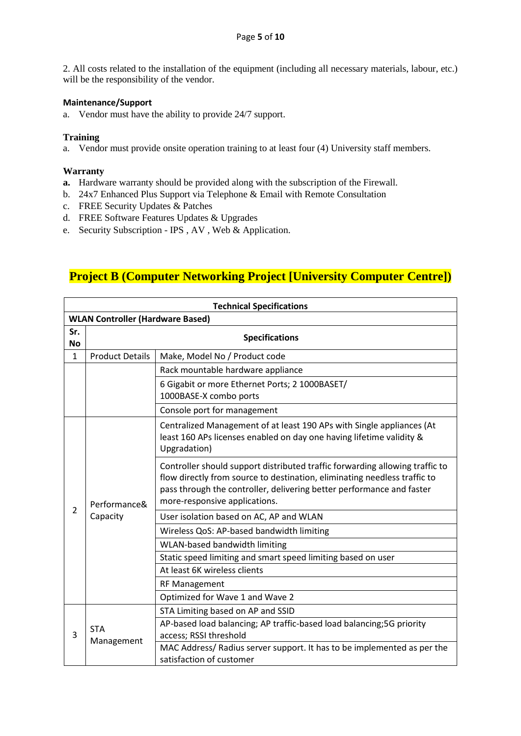2. All costs related to the installation of the equipment (including all necessary materials, labour, etc.) will be the responsibility of the vendor.

#### **Maintenance/Support**

a. Vendor must have the ability to provide 24/7 support.

#### **Training**

a. Vendor must provide onsite operation training to at least four (4) University staff members.

#### **Warranty**

- **a.** Hardware warranty should be provided along with the subscription of the Firewall.
- b. 24x7 Enhanced Plus Support via Telephone & Email with Remote Consultation
- c. FREE Security Updates & Patches
- d. FREE Software Features Updates & Upgrades
- e. Security Subscription IPS , AV , Web & Application.

# **Project B (Computer Networking Project [University Computer Centre])**

|                | <b>Technical Specifications</b>         |                                                                                                                                                                                                                                                                     |  |  |  |
|----------------|-----------------------------------------|---------------------------------------------------------------------------------------------------------------------------------------------------------------------------------------------------------------------------------------------------------------------|--|--|--|
|                | <b>WLAN Controller (Hardware Based)</b> |                                                                                                                                                                                                                                                                     |  |  |  |
| Sr.<br>No      | <b>Specifications</b>                   |                                                                                                                                                                                                                                                                     |  |  |  |
| $\mathbf{1}$   | <b>Product Details</b>                  | Make, Model No / Product code                                                                                                                                                                                                                                       |  |  |  |
|                |                                         | Rack mountable hardware appliance                                                                                                                                                                                                                                   |  |  |  |
|                |                                         | 6 Gigabit or more Ethernet Ports; 2 1000BASET/<br>1000BASE-X combo ports                                                                                                                                                                                            |  |  |  |
|                |                                         | Console port for management                                                                                                                                                                                                                                         |  |  |  |
|                | Performance&<br>Capacity                | Centralized Management of at least 190 APs with Single appliances (At<br>least 160 APs licenses enabled on day one having lifetime validity &<br>Upgradation)                                                                                                       |  |  |  |
|                |                                         | Controller should support distributed traffic forwarding allowing traffic to<br>flow directly from source to destination, eliminating needless traffic to<br>pass through the controller, delivering better performance and faster<br>more-responsive applications. |  |  |  |
| $\overline{2}$ |                                         | User isolation based on AC, AP and WLAN                                                                                                                                                                                                                             |  |  |  |
|                |                                         | Wireless QoS: AP-based bandwidth limiting                                                                                                                                                                                                                           |  |  |  |
|                |                                         | WLAN-based bandwidth limiting                                                                                                                                                                                                                                       |  |  |  |
|                |                                         | Static speed limiting and smart speed limiting based on user                                                                                                                                                                                                        |  |  |  |
|                |                                         | At least 6K wireless clients                                                                                                                                                                                                                                        |  |  |  |
|                |                                         | <b>RF Management</b>                                                                                                                                                                                                                                                |  |  |  |
|                |                                         | Optimized for Wave 1 and Wave 2                                                                                                                                                                                                                                     |  |  |  |
|                |                                         | STA Limiting based on AP and SSID                                                                                                                                                                                                                                   |  |  |  |
| 3              | STA<br>Management                       | AP-based load balancing; AP traffic-based load balancing; 5G priority<br>access; RSSI threshold                                                                                                                                                                     |  |  |  |
|                |                                         | MAC Address/ Radius server support. It has to be implemented as per the<br>satisfaction of customer                                                                                                                                                                 |  |  |  |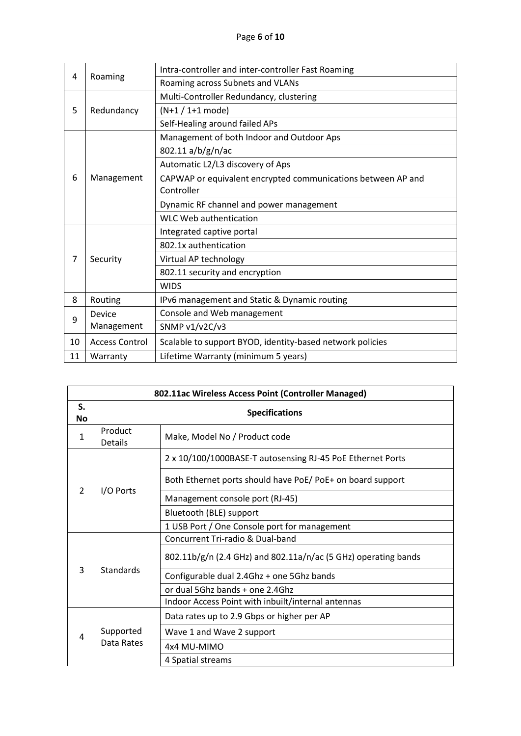|    |                       | Intra-controller and inter-controller Fast Roaming           |
|----|-----------------------|--------------------------------------------------------------|
| 4  | Roaming               | Roaming across Subnets and VLANs                             |
|    |                       | Multi-Controller Redundancy, clustering                      |
| 5  | Redundancy            | $(N+1 / 1+1$ mode)                                           |
|    |                       | Self-Healing around failed APs                               |
|    |                       | Management of both Indoor and Outdoor Aps                    |
|    |                       | 802.11 a/b/g/n/ac                                            |
|    |                       | Automatic L2/L3 discovery of Aps                             |
| 6  | Management            | CAPWAP or equivalent encrypted communications between AP and |
|    |                       | Controller                                                   |
|    |                       | Dynamic RF channel and power management                      |
|    |                       | <b>WLC Web authentication</b>                                |
|    |                       | Integrated captive portal                                    |
|    |                       | 802.1x authentication                                        |
| 7  | Security              | Virtual AP technology                                        |
|    |                       | 802.11 security and encryption                               |
|    |                       | <b>WIDS</b>                                                  |
| 8  | Routing               | IPv6 management and Static & Dynamic routing                 |
| 9  | Device                | Console and Web management                                   |
|    | Management            | SNMP v1/v2C/v3                                               |
| 10 | <b>Access Control</b> | Scalable to support BYOD, identity-based network policies    |
| 11 | Warranty              | Lifetime Warranty (minimum 5 years)                          |

|                 | 802.11ac Wireless Access Point (Controller Managed) |                                                                |  |  |  |
|-----------------|-----------------------------------------------------|----------------------------------------------------------------|--|--|--|
| S.<br><b>No</b> | <b>Specifications</b>                               |                                                                |  |  |  |
| 1               | Product<br>Make, Model No / Product code<br>Details |                                                                |  |  |  |
|                 |                                                     | 2 x 10/100/1000BASE-T autosensing RJ-45 PoE Ethernet Ports     |  |  |  |
| $\mathcal{P}$   | I/O Ports                                           | Both Ethernet ports should have PoE/PoE+ on board support      |  |  |  |
|                 |                                                     | Management console port (RJ-45)                                |  |  |  |
|                 |                                                     | Bluetooth (BLE) support                                        |  |  |  |
|                 |                                                     | 1 USB Port / One Console port for management                   |  |  |  |
|                 | Standards                                           | Concurrent Tri-radio & Dual-band                               |  |  |  |
|                 |                                                     | 802.11b/g/n (2.4 GHz) and 802.11a/n/ac (5 GHz) operating bands |  |  |  |
| 3               |                                                     | Configurable dual 2.4Ghz + one 5Ghz bands                      |  |  |  |
|                 |                                                     | or dual 5Ghz bands + one 2.4Ghz                                |  |  |  |
|                 |                                                     | Indoor Access Point with inbuilt/internal antennas             |  |  |  |
|                 |                                                     | Data rates up to 2.9 Gbps or higher per AP                     |  |  |  |
| 4               | Supported                                           | Wave 1 and Wave 2 support                                      |  |  |  |
|                 | Data Rates                                          | 4x4 MU-MIMO                                                    |  |  |  |
|                 |                                                     | 4 Spatial streams                                              |  |  |  |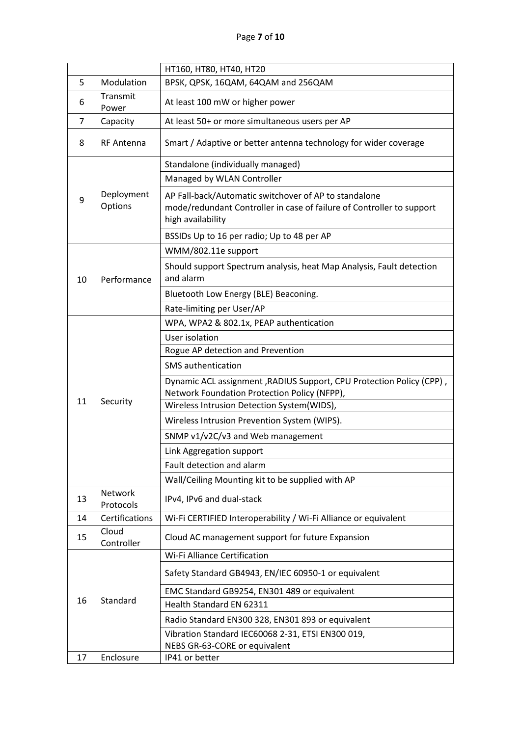# Page **7** of **10**

|                                                  |                       | HT160, HT80, HT40, HT20                                                                                                                             |  |
|--------------------------------------------------|-----------------------|-----------------------------------------------------------------------------------------------------------------------------------------------------|--|
| 5                                                | Modulation            | BPSK, QPSK, 16QAM, 64QAM and 256QAM                                                                                                                 |  |
| 6                                                | Transmit<br>Power     | At least 100 mW or higher power                                                                                                                     |  |
| 7                                                | Capacity              | At least 50+ or more simultaneous users per AP                                                                                                      |  |
| 8                                                | <b>RF Antenna</b>     | Smart / Adaptive or better antenna technology for wider coverage                                                                                    |  |
|                                                  |                       | Standalone (individually managed)                                                                                                                   |  |
|                                                  |                       | Managed by WLAN Controller                                                                                                                          |  |
| 9                                                | Deployment<br>Options | AP Fall-back/Automatic switchover of AP to standalone<br>mode/redundant Controller in case of failure of Controller to support<br>high availability |  |
|                                                  |                       | BSSIDs Up to 16 per radio; Up to 48 per AP                                                                                                          |  |
|                                                  |                       | WMM/802.11e support                                                                                                                                 |  |
| 10                                               | Performance           | Should support Spectrum analysis, heat Map Analysis, Fault detection<br>and alarm                                                                   |  |
|                                                  |                       | Bluetooth Low Energy (BLE) Beaconing.                                                                                                               |  |
|                                                  |                       | Rate-limiting per User/AP                                                                                                                           |  |
|                                                  |                       | WPA, WPA2 & 802.1x, PEAP authentication                                                                                                             |  |
|                                                  |                       | User isolation                                                                                                                                      |  |
|                                                  |                       | Rogue AP detection and Prevention                                                                                                                   |  |
|                                                  |                       | <b>SMS</b> authentication                                                                                                                           |  |
|                                                  |                       | Dynamic ACL assignment, RADIUS Support, CPU Protection Policy (CPP),<br>Network Foundation Protection Policy (NFPP),                                |  |
| 11                                               | Security              | Wireless Intrusion Detection System(WIDS),                                                                                                          |  |
|                                                  |                       | Wireless Intrusion Prevention System (WIPS).                                                                                                        |  |
|                                                  |                       | SNMP v1/v2C/v3 and Web management                                                                                                                   |  |
|                                                  |                       | Link Aggregation support                                                                                                                            |  |
|                                                  |                       | Fault detection and alarm                                                                                                                           |  |
|                                                  |                       | Wall/Ceiling Mounting kit to be supplied with AP                                                                                                    |  |
| 13                                               | Network<br>Protocols  | IPv4, IPv6 and dual-stack                                                                                                                           |  |
| 14                                               | Certifications        | Wi-Fi CERTIFIED Interoperability / Wi-Fi Alliance or equivalent                                                                                     |  |
| 15                                               | Cloud<br>Controller   | Cloud AC management support for future Expansion                                                                                                    |  |
|                                                  |                       | Wi-Fi Alliance Certification                                                                                                                        |  |
|                                                  | Standard              | Safety Standard GB4943, EN/IEC 60950-1 or equivalent                                                                                                |  |
| 16                                               |                       | EMC Standard GB9254, EN301 489 or equivalent                                                                                                        |  |
|                                                  |                       | Health Standard EN 62311                                                                                                                            |  |
|                                                  |                       | Radio Standard EN300 328, EN301 893 or equivalent                                                                                                   |  |
|                                                  |                       | Vibration Standard IEC60068 2-31, ETSI EN300 019,                                                                                                   |  |
| NEBS GR-63-CORE or equivalent<br>17<br>Enclosure |                       | IP41 or better                                                                                                                                      |  |
|                                                  |                       |                                                                                                                                                     |  |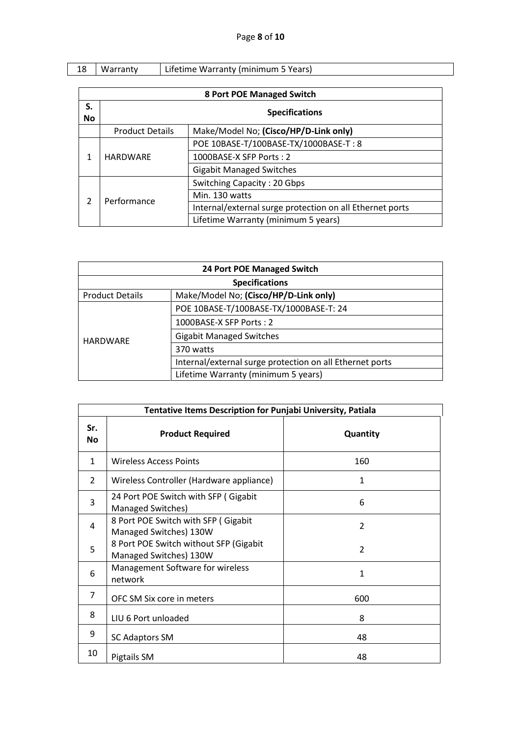|  | Warranty | Lifetime Warranty (minimum 5 Years) |
|--|----------|-------------------------------------|

|          | <b>8 Port POE Managed Switch</b> |                                                          |  |  |  |  |
|----------|----------------------------------|----------------------------------------------------------|--|--|--|--|
| S.<br>No | <b>Specifications</b>            |                                                          |  |  |  |  |
|          | <b>Product Details</b>           | Make/Model No; (Cisco/HP/D-Link only)                    |  |  |  |  |
|          | <b>HARDWARF</b>                  | POE 10BASE-T/100BASE-TX/1000BASE-T: 8                    |  |  |  |  |
| 1        |                                  | 1000BASE-X SFP Ports: 2                                  |  |  |  |  |
|          |                                  | <b>Gigabit Managed Switches</b>                          |  |  |  |  |
|          | Performance                      | Switching Capacity: 20 Gbps                              |  |  |  |  |
| 2        |                                  | Min. 130 watts                                           |  |  |  |  |
|          |                                  | Internal/external surge protection on all Ethernet ports |  |  |  |  |
|          |                                  | Lifetime Warranty (minimum 5 years)                      |  |  |  |  |

| 24 Port POE Managed Switch                                      |                                                          |  |  |
|-----------------------------------------------------------------|----------------------------------------------------------|--|--|
| <b>Specifications</b>                                           |                                                          |  |  |
| Make/Model No; (Cisco/HP/D-Link only)<br><b>Product Details</b> |                                                          |  |  |
|                                                                 | POE 10BASE-T/100BASE-TX/1000BASE-T: 24                   |  |  |
|                                                                 | 1000BASE-X SFP Ports: 2                                  |  |  |
| <b>HARDWARE</b>                                                 | <b>Gigabit Managed Switches</b>                          |  |  |
|                                                                 | 370 watts                                                |  |  |
|                                                                 | Internal/external surge protection on all Ethernet ports |  |  |
|                                                                 | Lifetime Warranty (minimum 5 years)                      |  |  |

| Tentative Items Description for Punjabi University, Patiala |                                                                  |                |  |  |  |
|-------------------------------------------------------------|------------------------------------------------------------------|----------------|--|--|--|
| Sr.<br><b>No</b>                                            | <b>Product Required</b>                                          | Quantity       |  |  |  |
| 1                                                           | Wireless Access Points                                           | 160            |  |  |  |
| $\overline{2}$                                              | Wireless Controller (Hardware appliance)                         | 1              |  |  |  |
| 3                                                           | 24 Port POE Switch with SFP (Gigabit<br>Managed Switches)        | 6              |  |  |  |
| 4                                                           | 8 Port POE Switch with SFP (Gigabit<br>Managed Switches) 130W    | $\overline{2}$ |  |  |  |
| 5                                                           | 8 Port POE Switch without SFP (Gigabit<br>Managed Switches) 130W | 2              |  |  |  |
| 6                                                           | Management Software for wireless<br>network                      | 1              |  |  |  |
| $\overline{7}$                                              | OFC SM Six core in meters                                        | 600            |  |  |  |
| 8                                                           | LIU 6 Port unloaded                                              | 8              |  |  |  |
| 9                                                           | <b>SC Adaptors SM</b>                                            | 48             |  |  |  |
| 10                                                          | Pigtails SM                                                      | 48             |  |  |  |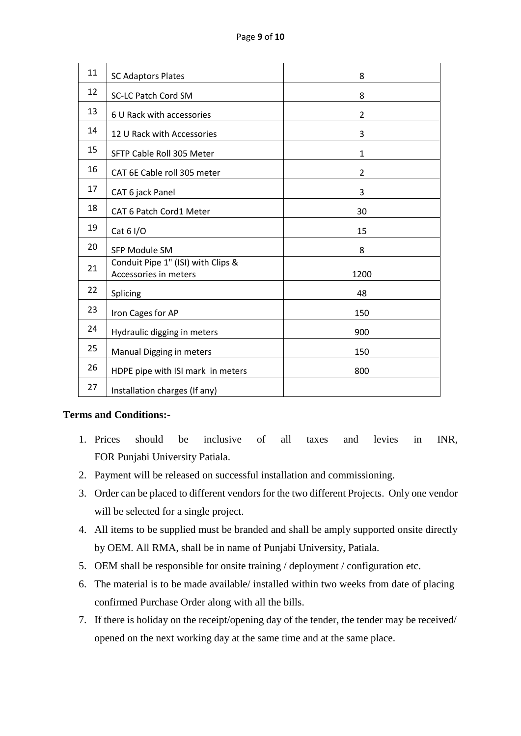| 11 | <b>SC Adaptors Plates</b>                                   | 8              |
|----|-------------------------------------------------------------|----------------|
| 12 | <b>SC-LC Patch Cord SM</b>                                  | 8              |
| 13 | 6 U Rack with accessories                                   | $\overline{2}$ |
| 14 | 12 U Rack with Accessories                                  | 3              |
| 15 | SFTP Cable Roll 305 Meter                                   | $\mathbf{1}$   |
| 16 | CAT 6E Cable roll 305 meter                                 | $\overline{2}$ |
| 17 | CAT 6 jack Panel                                            | 3              |
| 18 | CAT 6 Patch Cord1 Meter                                     | 30             |
| 19 | Cat $61/O$                                                  | 15             |
| 20 | SFP Module SM                                               | 8              |
| 21 | Conduit Pipe 1" (ISI) with Clips &<br>Accessories in meters | 1200           |
| 22 | Splicing                                                    | 48             |
| 23 | Iron Cages for AP                                           | 150            |
| 24 | Hydraulic digging in meters                                 | 900            |
| 25 | Manual Digging in meters                                    | 150            |
| 26 | HDPE pipe with ISI mark in meters                           | 800            |
| 27 | Installation charges (If any)                               |                |

# **Terms and Conditions:-**

- 1. Prices should be inclusive of all taxes and levies in INR, FOR Punjabi University Patiala.
- 2. Payment will be released on successful installation and commissioning.
- 3. Order can be placed to different vendors for the two different Projects. Only one vendor will be selected for a single project.
- 4. All items to be supplied must be branded and shall be amply supported onsite directly by OEM. All RMA, shall be in name of Punjabi University, Patiala.
- 5. OEM shall be responsible for onsite training / deployment / configuration etc.
- 6. The material is to be made available/ installed within two weeks from date of placing confirmed Purchase Order along with all the bills.
- 7. If there is holiday on the receipt/opening day of the tender, the tender may be received/ opened on the next working day at the same time and at the same place.